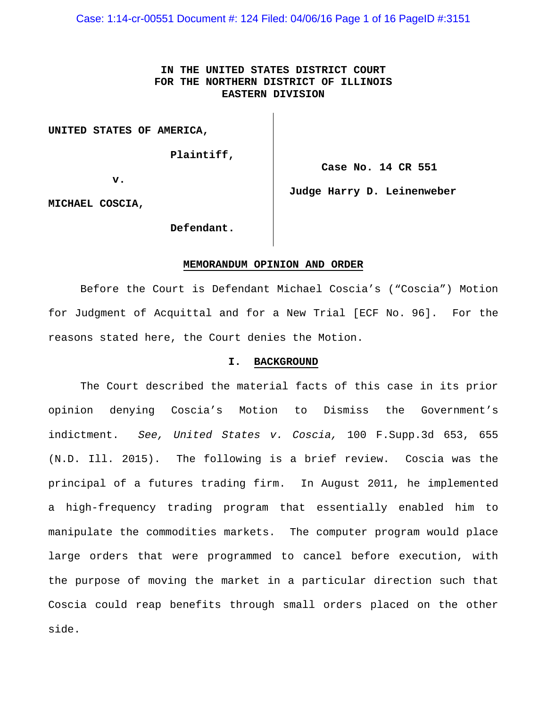Case: 1:14-cr-00551 Document #: 124 Filed: 04/06/16 Page 1 of 16 PageID #:3151

# **IN THE UNITED STATES DISTRICT COURT FOR THE NORTHERN DISTRICT OF ILLINOIS EASTERN DIVISION**

**UNITED STATES OF AMERICA,**

 **Plaintiff,**

**v.**

**Case No. 14 CR 551**

**MICHAEL COSCIA,**

**Judge Harry D. Leinenweber**

 **Defendant.**

#### **MEMORANDUM OPINION AND ORDER**

Before the Court is Defendant Michael Coscia's ("Coscia") Motion for Judgment of Acquittal and for a New Trial [ECF No. 96]. For the reasons stated here, the Court denies the Motion.

#### **I. BACKGROUND**

The Court described the material facts of this case in its prior opinion denying Coscia's Motion to Dismiss the Government's indictment. *See, United States v. Coscia,* 100 F.Supp.3d 653, 655 (N.D. Ill. 2015). The following is a brief review. Coscia was the principal of a futures trading firm. In August 2011, he implemented a high-frequency trading program that essentially enabled him to manipulate the commodities markets. The computer program would place large orders that were programmed to cancel before execution, with the purpose of moving the market in a particular direction such that Coscia could reap benefits through small orders placed on the other side.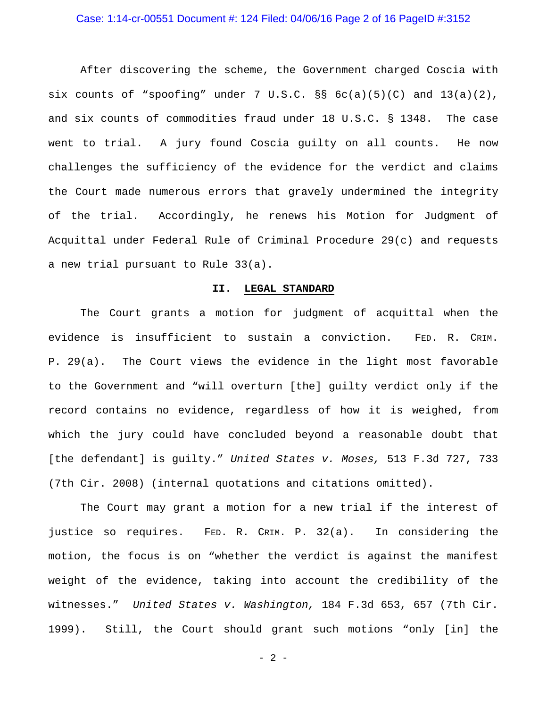## Case: 1:14-cr-00551 Document #: 124 Filed: 04/06/16 Page 2 of 16 PageID #:3152

After discovering the scheme, the Government charged Coscia with six counts of "spoofing" under  $7 \text{ U.S.C.}$   $\S$ §  $6c(a)(5)(C)$  and  $13(a)(2)$ , and six counts of commodities fraud under 18 U.S.C. § 1348. The case went to trial. A jury found Coscia guilty on all counts. He now challenges the sufficiency of the evidence for the verdict and claims the Court made numerous errors that gravely undermined the integrity of the trial. Accordingly, he renews his Motion for Judgment of Acquittal under Federal Rule of Criminal Procedure 29(c) and requests a new trial pursuant to Rule 33(a).

#### **II. LEGAL STANDARD**

The Court grants a motion for judgment of acquittal when the evidence is insufficient to sustain a conviction. FED. R. CRIM. P. 29(a). The Court views the evidence in the light most favorable to the Government and "will overturn [the] guilty verdict only if the record contains no evidence, regardless of how it is weighed, from which the jury could have concluded beyond a reasonable doubt that [the defendant] is guilty." *United States v. Moses,* 513 F.3d 727, 733 (7th Cir. 2008) (internal quotations and citations omitted).

The Court may grant a motion for a new trial if the interest of justice so requires. FED. R. CRIM. P. 32(a). In considering the motion, the focus is on "whether the verdict is against the manifest weight of the evidence, taking into account the credibility of the witnesses." *United States v. Washington,* 184 F.3d 653, 657 (7th Cir. 1999). Still, the Court should grant such motions "only [in] the

 $- 2 -$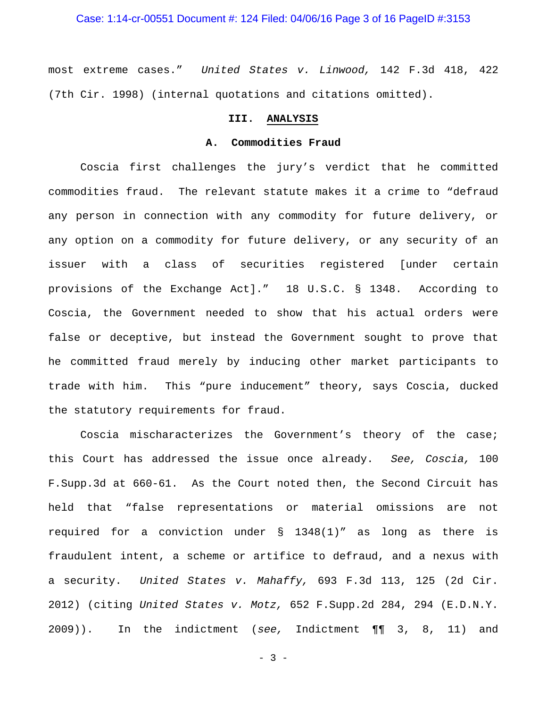most extreme cases." *United States v. Linwood,* 142 F.3d 418, 422 (7th Cir. 1998) (internal quotations and citations omitted).

## **III. ANALYSIS**

## **A. Commodities Fraud**

Coscia first challenges the jury's verdict that he committed commodities fraud. The relevant statute makes it a crime to "defraud any person in connection with any commodity for future delivery, or any option on a commodity for future delivery, or any security of an issuer with a class of securities registered [under certain provisions of the Exchange Act]." 18 U.S.C. § 1348. According to Coscia, the Government needed to show that his actual orders were false or deceptive, but instead the Government sought to prove that he committed fraud merely by inducing other market participants to trade with him. This "pure inducement" theory, says Coscia, ducked the statutory requirements for fraud.

Coscia mischaracterizes the Government's theory of the case; this Court has addressed the issue once already. *See, Coscia,* 100 F.Supp.3d at 660-61. As the Court noted then, the Second Circuit has held that "false representations or material omissions are not required for a conviction under § 1348(1)" as long as there is fraudulent intent, a scheme or artifice to defraud, and a nexus with a security. *United States v. Mahaffy,* 693 F.3d 113, 125 (2d Cir. 2012) (citing *United States v. Motz,* 652 F.Supp.2d 284, 294 (E.D.N.Y. 2009)). In the indictment (*see,* Indictment ¶¶ 3, 8, 11) and

 $- 3 -$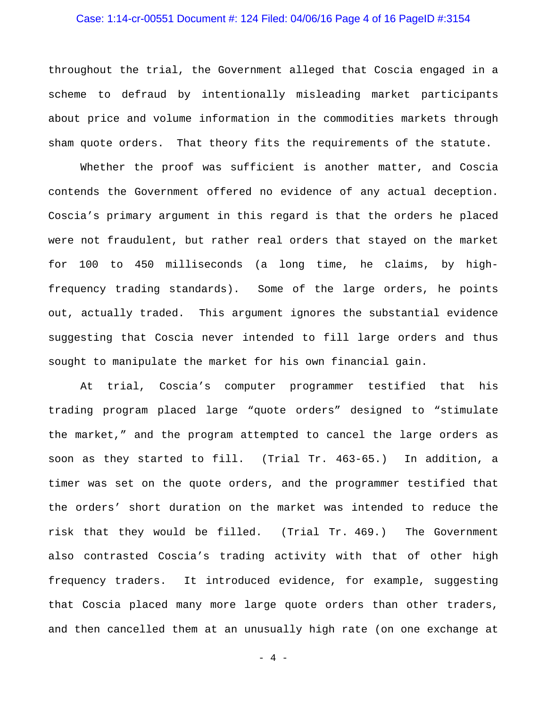## Case: 1:14-cr-00551 Document #: 124 Filed: 04/06/16 Page 4 of 16 PageID #:3154

throughout the trial, the Government alleged that Coscia engaged in a scheme to defraud by intentionally misleading market participants about price and volume information in the commodities markets through sham quote orders. That theory fits the requirements of the statute.

Whether the proof was sufficient is another matter, and Coscia contends the Government offered no evidence of any actual deception. Coscia's primary argument in this regard is that the orders he placed were not fraudulent, but rather real orders that stayed on the market for 100 to 450 milliseconds (a long time, he claims, by highfrequency trading standards). Some of the large orders, he points out, actually traded. This argument ignores the substantial evidence suggesting that Coscia never intended to fill large orders and thus sought to manipulate the market for his own financial gain.

At trial, Coscia's computer programmer testified that his trading program placed large "quote orders" designed to "stimulate the market," and the program attempted to cancel the large orders as soon as they started to fill. (Trial Tr. 463-65.) In addition, a timer was set on the quote orders, and the programmer testified that the orders' short duration on the market was intended to reduce the risk that they would be filled. (Trial Tr. 469.) The Government also contrasted Coscia's trading activity with that of other high frequency traders. It introduced evidence, for example, suggesting that Coscia placed many more large quote orders than other traders, and then cancelled them at an unusually high rate (on one exchange at

- 4 -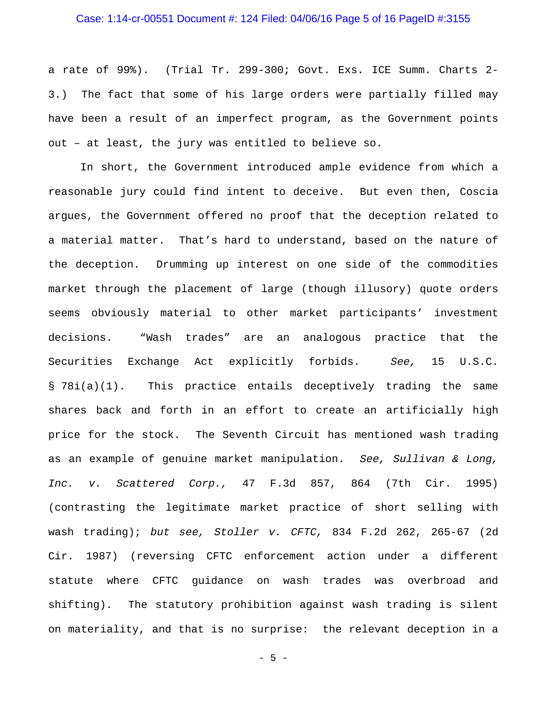## Case: 1:14-cr-00551 Document #: 124 Filed: 04/06/16 Page 5 of 16 PageID #:3155

a rate of 99%). (Trial Tr. 299-300; Govt. Exs. ICE Summ. Charts 2- 3.) The fact that some of his large orders were partially filled may have been a result of an imperfect program, as the Government points out – at least, the jury was entitled to believe so.

In short, the Government introduced ample evidence from which a reasonable jury could find intent to deceive. But even then, Coscia argues, the Government offered no proof that the deception related to a material matter. That's hard to understand, based on the nature of the deception. Drumming up interest on one side of the commodities market through the placement of large (though illusory) quote orders seems obviously material to other market participants' investment decisions. "Wash trades" are an analogous practice that the Securities Exchange Act explicitly forbids. *See,* 15 U.S.C. § 78i(a)(1). This practice entails deceptively trading the same shares back and forth in an effort to create an artificially high price for the stock. The Seventh Circuit has mentioned wash trading as an example of genuine market manipulation. *See, Sullivan & Long, Inc. v. Scattered Corp.,* 47 F.3d 857, 864 (7th Cir. 1995) (contrasting the legitimate market practice of short selling with wash trading); *but see, Stoller v. CFTC,* 834 F.2d 262, 265-67 (2d Cir. 1987) (reversing CFTC enforcement action under a different statute where CFTC guidance on wash trades was overbroad and shifting). The statutory prohibition against wash trading is silent on materiality, and that is no surprise: the relevant deception in a

 $-5 -$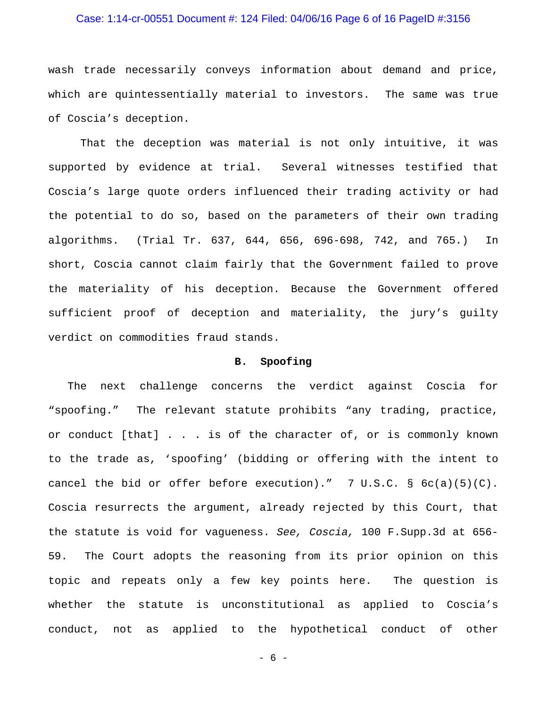## Case: 1:14-cr-00551 Document #: 124 Filed: 04/06/16 Page 6 of 16 PageID #:3156

wash trade necessarily conveys information about demand and price, which are quintessentially material to investors. The same was true of Coscia's deception.

That the deception was material is not only intuitive, it was supported by evidence at trial. Several witnesses testified that Coscia's large quote orders influenced their trading activity or had the potential to do so, based on the parameters of their own trading algorithms. (Trial Tr. 637, 644, 656, 696-698, 742, and 765.) In short, Coscia cannot claim fairly that the Government failed to prove the materiality of his deception. Because the Government offered sufficient proof of deception and materiality, the jury's guilty verdict on commodities fraud stands.

## **B. Spoofing**

 The next challenge concerns the verdict against Coscia for "spoofing." The relevant statute prohibits "any trading, practice, or conduct [that] . . . is of the character of, or is commonly known to the trade as, 'spoofing' (bidding or offering with the intent to cancel the bid or offer before execution)." 7 U.S.C.  $\S$   $6c(a)(5)(C)$ . Coscia resurrects the argument, already rejected by this Court, that the statute is void for vagueness. *See, Coscia,* 100 F.Supp.3d at 656- 59. The Court adopts the reasoning from its prior opinion on this topic and repeats only a few key points here. The question is whether the statute is unconstitutional as applied to Coscia's conduct, not as applied to the hypothetical conduct of other

- 6 -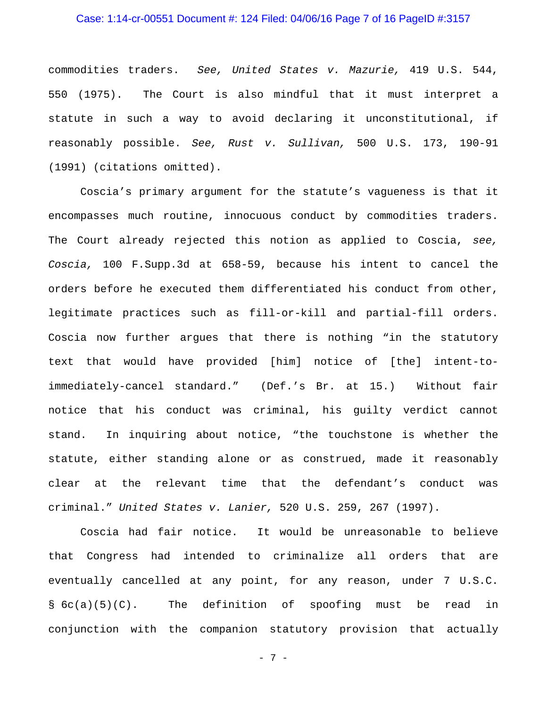## Case: 1:14-cr-00551 Document #: 124 Filed: 04/06/16 Page 7 of 16 PageID #:3157

commodities traders. *See, United States v. Mazurie,* 419 U.S. 544, 550 (1975). The Court is also mindful that it must interpret a statute in such a way to avoid declaring it unconstitutional, if reasonably possible. *See, Rust v. Sullivan,* 500 U.S. 173, 190-91 (1991) (citations omitted).

Coscia's primary argument for the statute's vagueness is that it encompasses much routine, innocuous conduct by commodities traders. The Court already rejected this notion as applied to Coscia, *see, Coscia,* 100 F.Supp.3d at 658-59, because his intent to cancel the orders before he executed them differentiated his conduct from other, legitimate practices such as fill-or-kill and partial-fill orders. Coscia now further argues that there is nothing "in the statutory text that would have provided [him] notice of [the] intent-toimmediately-cancel standard." (Def.'s Br. at 15.) Without fair notice that his conduct was criminal, his guilty verdict cannot stand. In inquiring about notice, "the touchstone is whether the statute, either standing alone or as construed, made it reasonably clear at the relevant time that the defendant's conduct was criminal." *United States v. Lanier,* 520 U.S. 259, 267 (1997).

Coscia had fair notice. It would be unreasonable to believe that Congress had intended to criminalize all orders that are eventually cancelled at any point, for any reason, under 7 U.S.C. § 6c(a)(5)(C). The definition of spoofing must be read in conjunction with the companion statutory provision that actually

- 7 -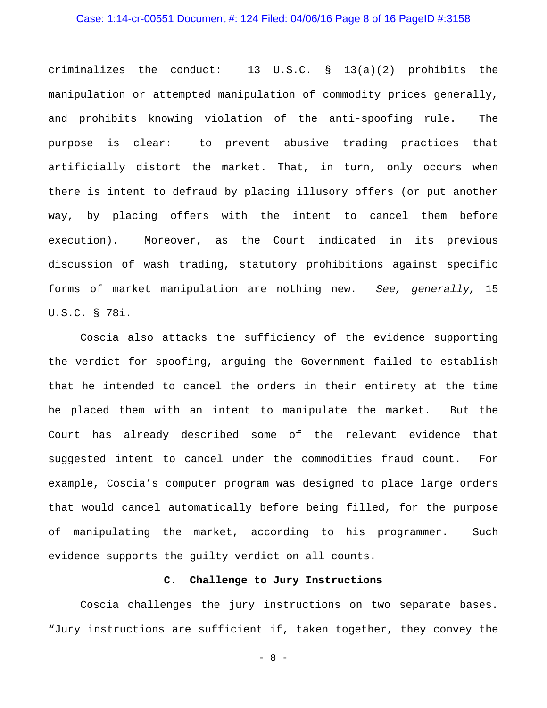## Case: 1:14-cr-00551 Document #: 124 Filed: 04/06/16 Page 8 of 16 PageID #:3158

criminalizes the conduct:  $13 \text{ U.S.C. }$   $\frac{13}{a}(a)(2)$  prohibits the manipulation or attempted manipulation of commodity prices generally, and prohibits knowing violation of the anti-spoofing rule. The purpose is clear: to prevent abusive trading practices that artificially distort the market. That, in turn, only occurs when there is intent to defraud by placing illusory offers (or put another way, by placing offers with the intent to cancel them before execution). Moreover, as the Court indicated in its previous discussion of wash trading, statutory prohibitions against specific forms of market manipulation are nothing new. *See, generally,* 15 U.S.C. § 78i.

Coscia also attacks the sufficiency of the evidence supporting the verdict for spoofing, arguing the Government failed to establish that he intended to cancel the orders in their entirety at the time he placed them with an intent to manipulate the market. But the Court has already described some of the relevant evidence that suggested intent to cancel under the commodities fraud count. For example, Coscia's computer program was designed to place large orders that would cancel automatically before being filled, for the purpose of manipulating the market, according to his programmer. Such evidence supports the guilty verdict on all counts.

## **C. Challenge to Jury Instructions**

Coscia challenges the jury instructions on two separate bases. "Jury instructions are sufficient if, taken together, they convey the

- 8 -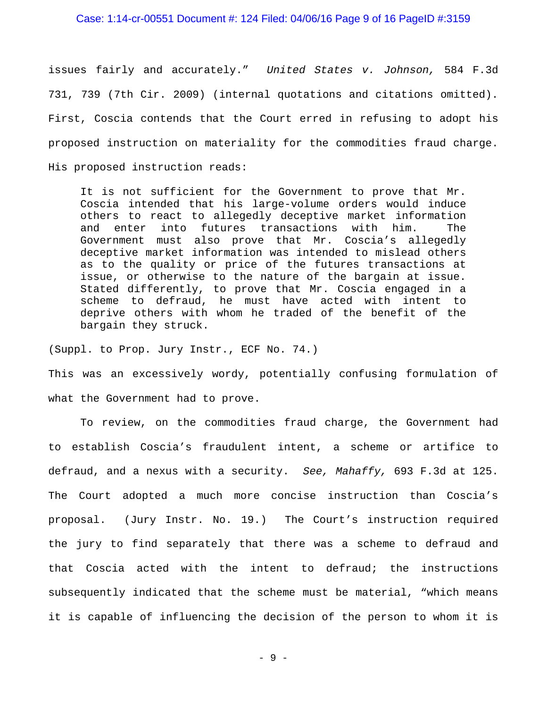#### Case: 1:14-cr-00551 Document #: 124 Filed: 04/06/16 Page 9 of 16 PageID #:3159

issues fairly and accurately." *United States v. Johnson,* 584 F.3d 731, 739 (7th Cir. 2009) (internal quotations and citations omitted). First, Coscia contends that the Court erred in refusing to adopt his proposed instruction on materiality for the commodities fraud charge. His proposed instruction reads:

It is not sufficient for the Government to prove that Mr. Coscia intended that his large-volume orders would induce others to react to allegedly deceptive market information and enter into futures transactions with him. The Government must also prove that Mr. Coscia's allegedly deceptive market information was intended to mislead others as to the quality or price of the futures transactions at issue, or otherwise to the nature of the bargain at issue. Stated differently, to prove that Mr. Coscia engaged in a scheme to defraud, he must have acted with intent to deprive others with whom he traded of the benefit of the bargain they struck.

(Suppl. to Prop. Jury Instr., ECF No. 74.)

This was an excessively wordy, potentially confusing formulation of what the Government had to prove.

To review, on the commodities fraud charge, the Government had to establish Coscia's fraudulent intent, a scheme or artifice to defraud, and a nexus with a security. *See, Mahaffy,* 693 F.3d at 125. The Court adopted a much more concise instruction than Coscia's proposal. (Jury Instr. No. 19.) The Court's instruction required the jury to find separately that there was a scheme to defraud and that Coscia acted with the intent to defraud; the instructions subsequently indicated that the scheme must be material, "which means it is capable of influencing the decision of the person to whom it is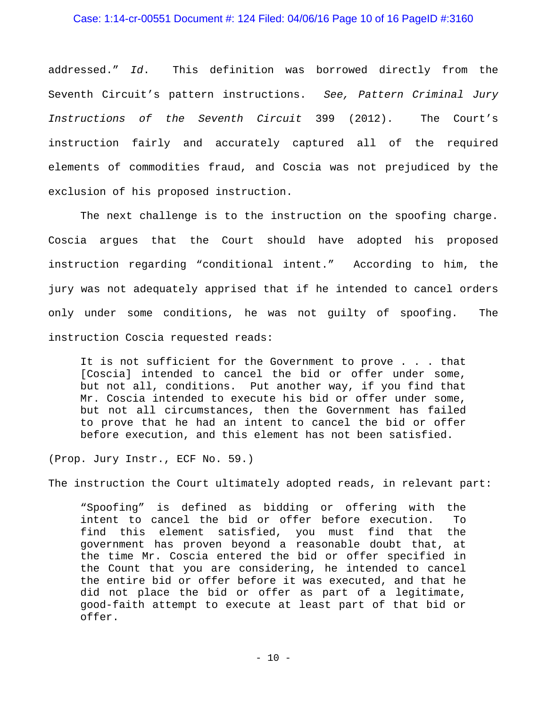#### Case: 1:14-cr-00551 Document #: 124 Filed: 04/06/16 Page 10 of 16 PageID #:3160

addressed." *Id*. This definition was borrowed directly from the Seventh Circuit's pattern instructions. *See, Pattern Criminal Jury Instructions of the Seventh Circuit* 399 (2012). The Court's instruction fairly and accurately captured all of the required elements of commodities fraud, and Coscia was not prejudiced by the exclusion of his proposed instruction.

The next challenge is to the instruction on the spoofing charge. Coscia argues that the Court should have adopted his proposed instruction regarding "conditional intent." According to him, the jury was not adequately apprised that if he intended to cancel orders only under some conditions, he was not guilty of spoofing. The instruction Coscia requested reads:

It is not sufficient for the Government to prove . . . that [Coscia] intended to cancel the bid or offer under some, but not all, conditions. Put another way, if you find that Mr. Coscia intended to execute his bid or offer under some, but not all circumstances, then the Government has failed to prove that he had an intent to cancel the bid or offer before execution, and this element has not been satisfied.

(Prop. Jury Instr., ECF No. 59.)

The instruction the Court ultimately adopted reads, in relevant part:

"Spoofing" is defined as bidding or offering with the intent to cancel the bid or offer before execution. To find this element satisfied, you must find that the government has proven beyond a reasonable doubt that, at the time Mr. Coscia entered the bid or offer specified in the Count that you are considering, he intended to cancel the entire bid or offer before it was executed, and that he did not place the bid or offer as part of a legitimate, good-faith attempt to execute at least part of that bid or offer.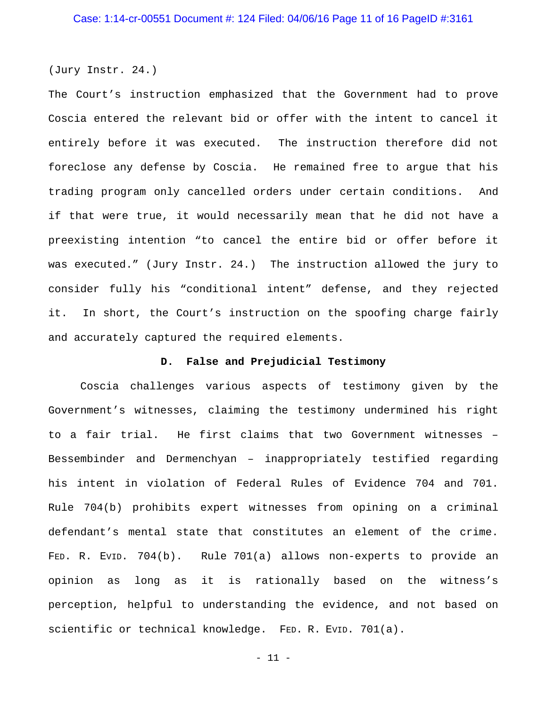(Jury Instr. 24.)

The Court's instruction emphasized that the Government had to prove Coscia entered the relevant bid or offer with the intent to cancel it entirely before it was executed. The instruction therefore did not foreclose any defense by Coscia. He remained free to argue that his trading program only cancelled orders under certain conditions. And if that were true, it would necessarily mean that he did not have a preexisting intention "to cancel the entire bid or offer before it was executed." (Jury Instr. 24.) The instruction allowed the jury to consider fully his "conditional intent" defense, and they rejected it. In short, the Court's instruction on the spoofing charge fairly and accurately captured the required elements.

#### **D. False and Prejudicial Testimony**

Coscia challenges various aspects of testimony given by the Government's witnesses, claiming the testimony undermined his right to a fair trial. He first claims that two Government witnesses – Bessembinder and Dermenchyan – inappropriately testified regarding his intent in violation of Federal Rules of Evidence 704 and 701. Rule 704(b) prohibits expert witnesses from opining on a criminal defendant's mental state that constitutes an element of the crime. FED. R. EVID. 704(b). Rule 701(a) allows non-experts to provide an opinion as long as it is rationally based on the witness's perception, helpful to understanding the evidence, and not based on scientific or technical knowledge. FED. R. EVID. 701(a).

- 11 -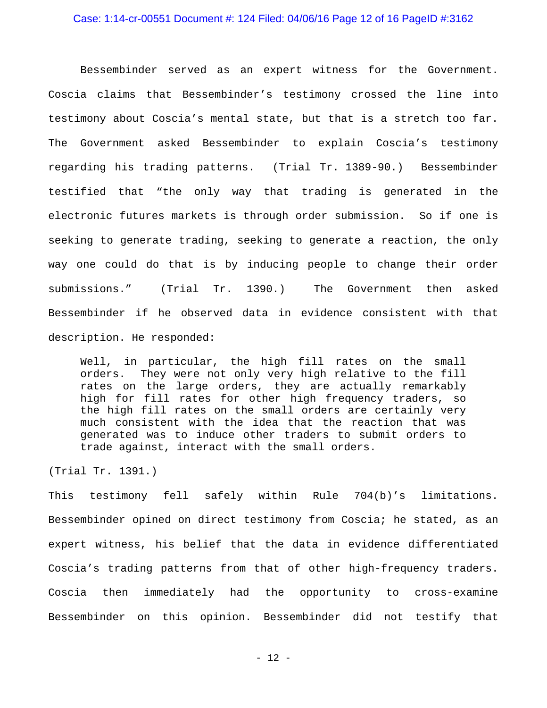Bessembinder served as an expert witness for the Government. Coscia claims that Bessembinder's testimony crossed the line into testimony about Coscia's mental state, but that is a stretch too far. The Government asked Bessembinder to explain Coscia's testimony regarding his trading patterns. (Trial Tr. 1389-90.) Bessembinder testified that "the only way that trading is generated in the electronic futures markets is through order submission. So if one is seeking to generate trading, seeking to generate a reaction, the only way one could do that is by inducing people to change their order submissions." (Trial Tr. 1390.) The Government then asked Bessembinder if he observed data in evidence consistent with that description. He responded:

Well, in particular, the high fill rates on the small orders. They were not only very high relative to the fill rates on the large orders, they are actually remarkably high for fill rates for other high frequency traders, so the high fill rates on the small orders are certainly very much consistent with the idea that the reaction that was generated was to induce other traders to submit orders to trade against, interact with the small orders.

(Trial Tr. 1391.)

This testimony fell safely within Rule 704(b)'s limitations. Bessembinder opined on direct testimony from Coscia; he stated, as an expert witness, his belief that the data in evidence differentiated Coscia's trading patterns from that of other high-frequency traders. Coscia then immediately had the opportunity to cross-examine Bessembinder on this opinion. Bessembinder did not testify that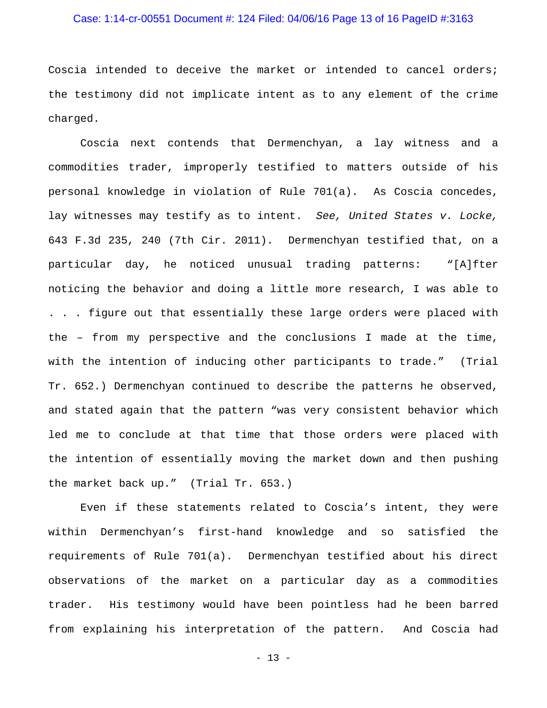## Case: 1:14-cr-00551 Document #: 124 Filed: 04/06/16 Page 13 of 16 PageID #:3163

Coscia intended to deceive the market or intended to cancel orders; the testimony did not implicate intent as to any element of the crime charged.

Coscia next contends that Dermenchyan, a lay witness and a commodities trader, improperly testified to matters outside of his personal knowledge in violation of Rule 701(a). As Coscia concedes, lay witnesses may testify as to intent. *See, United States v. Locke,* 643 F.3d 235, 240 (7th Cir. 2011). Dermenchyan testified that, on a particular day, he noticed unusual trading patterns: "[A]fter noticing the behavior and doing a little more research, I was able to . . . figure out that essentially these large orders were placed with the – from my perspective and the conclusions I made at the time, with the intention of inducing other participants to trade." (Trial Tr. 652.) Dermenchyan continued to describe the patterns he observed, and stated again that the pattern "was very consistent behavior which led me to conclude at that time that those orders were placed with the intention of essentially moving the market down and then pushing the market back up." (Trial Tr. 653.)

Even if these statements related to Coscia's intent, they were within Dermenchyan's first-hand knowledge and so satisfied the requirements of Rule 701(a). Dermenchyan testified about his direct observations of the market on a particular day as a commodities trader. His testimony would have been pointless had he been barred from explaining his interpretation of the pattern. And Coscia had

- 13 -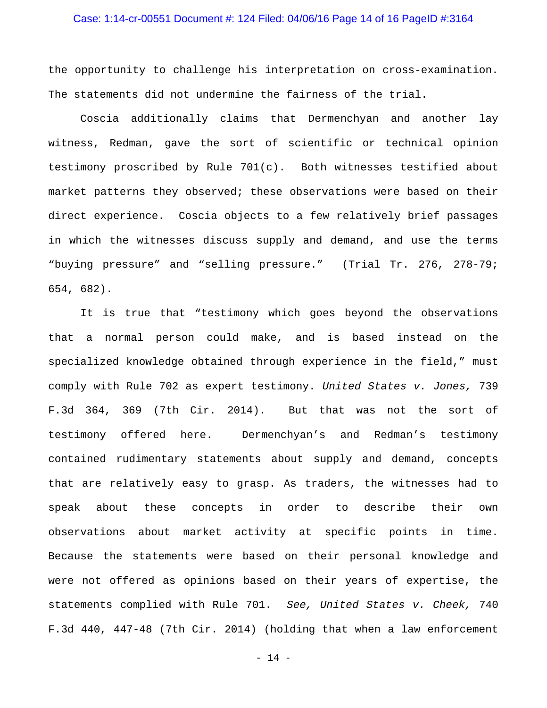## Case: 1:14-cr-00551 Document #: 124 Filed: 04/06/16 Page 14 of 16 PageID #:3164

the opportunity to challenge his interpretation on cross-examination. The statements did not undermine the fairness of the trial.

Coscia additionally claims that Dermenchyan and another lay witness, Redman, gave the sort of scientific or technical opinion testimony proscribed by Rule 701(c). Both witnesses testified about market patterns they observed; these observations were based on their direct experience. Coscia objects to a few relatively brief passages in which the witnesses discuss supply and demand, and use the terms "buying pressure" and "selling pressure." (Trial Tr. 276, 278-79; 654, 682).

It is true that "testimony which goes beyond the observations that a normal person could make, and is based instead on the specialized knowledge obtained through experience in the field," must comply with Rule 702 as expert testimony. *United States v. Jones,* 739 F.3d 364, 369 (7th Cir. 2014). But that was not the sort of testimony offered here. Dermenchyan's and Redman's testimony contained rudimentary statements about supply and demand, concepts that are relatively easy to grasp. As traders, the witnesses had to speak about these concepts in order to describe their own observations about market activity at specific points in time. Because the statements were based on their personal knowledge and were not offered as opinions based on their years of expertise, the statements complied with Rule 701. *See, United States v. Cheek,* 740 F.3d 440, 447-48 (7th Cir. 2014) (holding that when a law enforcement

- 14 -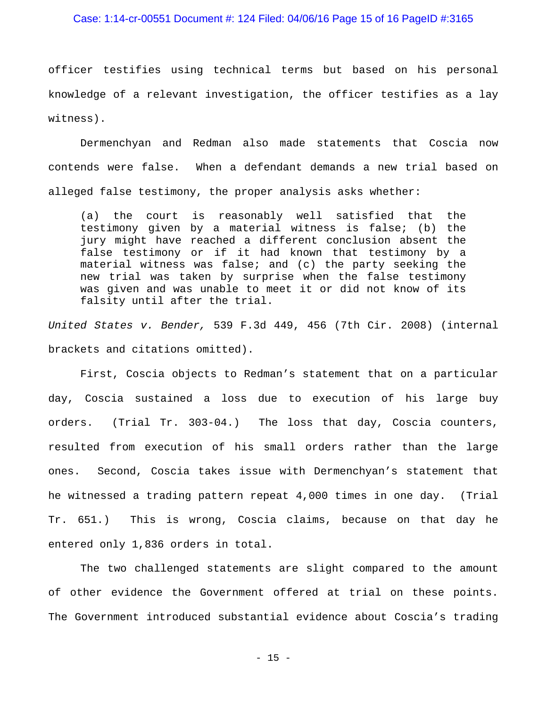#### Case: 1:14-cr-00551 Document #: 124 Filed: 04/06/16 Page 15 of 16 PageID #:3165

officer testifies using technical terms but based on his personal knowledge of a relevant investigation, the officer testifies as a lay witness).

Dermenchyan and Redman also made statements that Coscia now contends were false. When a defendant demands a new trial based on alleged false testimony, the proper analysis asks whether:

(a) the court is reasonably well satisfied that the testimony given by a material witness is false; (b) the jury might have reached a different conclusion absent the false testimony or if it had known that testimony by a material witness was false; and (c) the party seeking the new trial was taken by surprise when the false testimony was given and was unable to meet it or did not know of its falsity until after the trial.

*United States v. Bender,* 539 F.3d 449, 456 (7th Cir. 2008) (internal brackets and citations omitted).

First, Coscia objects to Redman's statement that on a particular day, Coscia sustained a loss due to execution of his large buy orders. (Trial Tr. 303-04.) The loss that day, Coscia counters, resulted from execution of his small orders rather than the large ones. Second, Coscia takes issue with Dermenchyan's statement that he witnessed a trading pattern repeat 4,000 times in one day. (Trial Tr. 651.) This is wrong, Coscia claims, because on that day he entered only 1,836 orders in total.

The two challenged statements are slight compared to the amount of other evidence the Government offered at trial on these points. The Government introduced substantial evidence about Coscia's trading

- 15 -